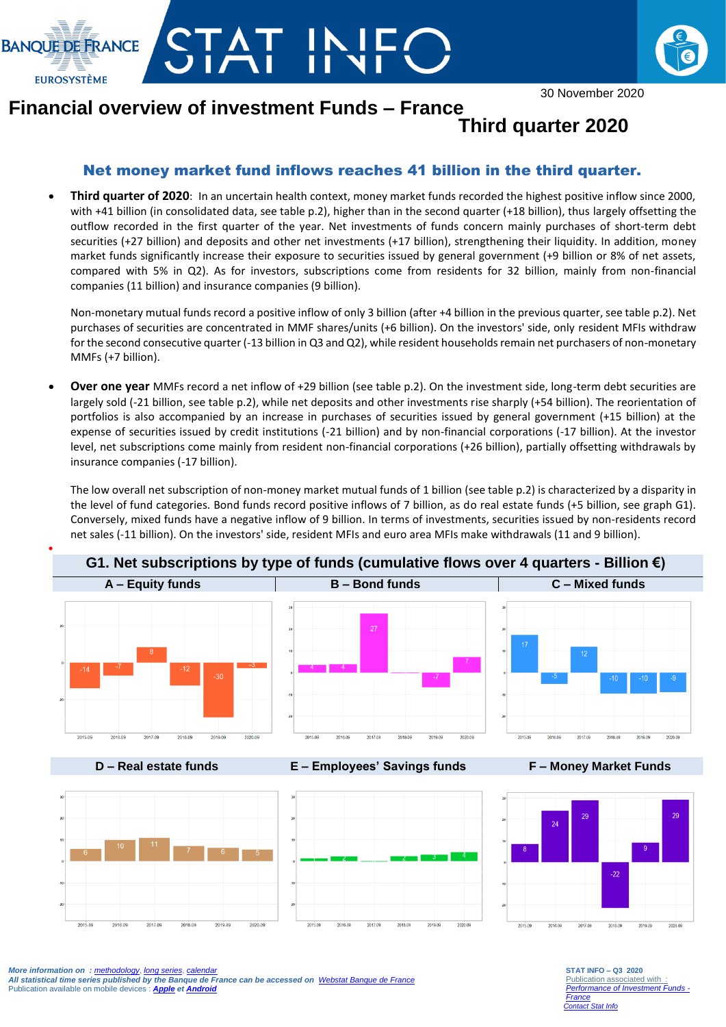



30 November 2020

## **Financial overview of investment Funds – France**

## **Third quarter 2020**

## Net money market fund inflows reaches 41 billion in the third quarter.

 **Third quarter of 2020**: In an uncertain health context, money market funds recorded the highest positive inflow since 2000, with +41 billion (in consolidated data, see table p.2), higher than in the second quarter (+18 billion), thus largely offsetting the outflow recorded in the first quarter of the year. Net investments of funds concern mainly purchases of short-term debt securities (+27 billion) and deposits and other net investments (+17 billion), strengthening their liquidity. In addition, money market funds significantly increase their exposure to securities issued by general government (+9 billion or 8% of net assets, compared with 5% in Q2). As for investors, subscriptions come from residents for 32 billion, mainly from non-financial companies (11 billion) and insurance companies (9 billion).

Non-monetary mutual funds record a positive inflow of only 3 billion (after +4 billion in the previous quarter, see table p.2). Net purchases of securities are concentrated in MMF shares/units (+6 billion). On the investors' side, only resident MFIs withdraw for the second consecutive quarter (-13 billion in Q3 and Q2), while resident households remain net purchasers of non-monetary MMFs (+7 billion).

 **Over one year** MMFs record a net inflow of +29 billion (see table p.2). On the investment side, long-term debt securities are largely sold (-21 billion, see table p.2), while net deposits and other investments rise sharply (+54 billion). The reorientation of portfolios is also accompanied by an increase in purchases of securities issued by general government (+15 billion) at the expense of securities issued by credit institutions (-21 billion) and by non-financial corporations (-17 billion). At the investor level, net subscriptions come mainly from resident non-financial corporations (+26 billion), partially offsetting withdrawals by insurance companies (-17 billion).

The low overall net subscription of non-money market mutual funds of 1 billion (see table p.2) is characterized by a disparity in the level of fund categories. Bond funds record positive inflows of 7 billion, as do real estate funds (+5 billion, see graph G1). Conversely, mixed funds have a negative inflow of 9 billion. In terms of investments, securities issued by non-residents record net sales (-11 billion). On the investors' side, resident MFIs and euro area MFIs make withdrawals (11 and 9 billion).



**D – Real estate funds E – Employees' Savings funds F – Money Market Funds**



**STAT INFO – Q3 2020** Publication associated with *[Performance of Investment Funds -](https://www.banque-france.fr/en/economics-statistics/stats-info/detail/performance-of-investment-funds-france.html) [France](https://www.banque-france.fr/en/economics-statistics/stats-info/detail/performance-of-investment-funds-france.html) [Contact Stat Info](mailto:GPS.support@banque-france.fr?subject=[Support%20Statistique]%20Balance%20des%20paiements)*

*More information on : [methodology](https://www.banque-france.fr/statistiques/acces-aux-series/methodologies)*, *[long series](http://webstat.banque-france.fr/en/browse.do?node=5384218)*, *[calendar](https://www.banque-france.fr/en/economics-statistics/calendar.html) All statistical time series published by the Banque de France can be accessed on [Webstat Banque de France](http://webstat.banque-france.fr/en/)* Publication available on mobile devices : *[Apple](https://itunes.apple.com/fr/app/banquefrance/id663817914?mt=8) e[t Android](https://play.google.com/store/apps/details?id=fr.bdf.mobile&feature=search_result#?t=W251bGwsMSwyLDEsImZyLmJkZi5tb2JpbGUiXQ)*